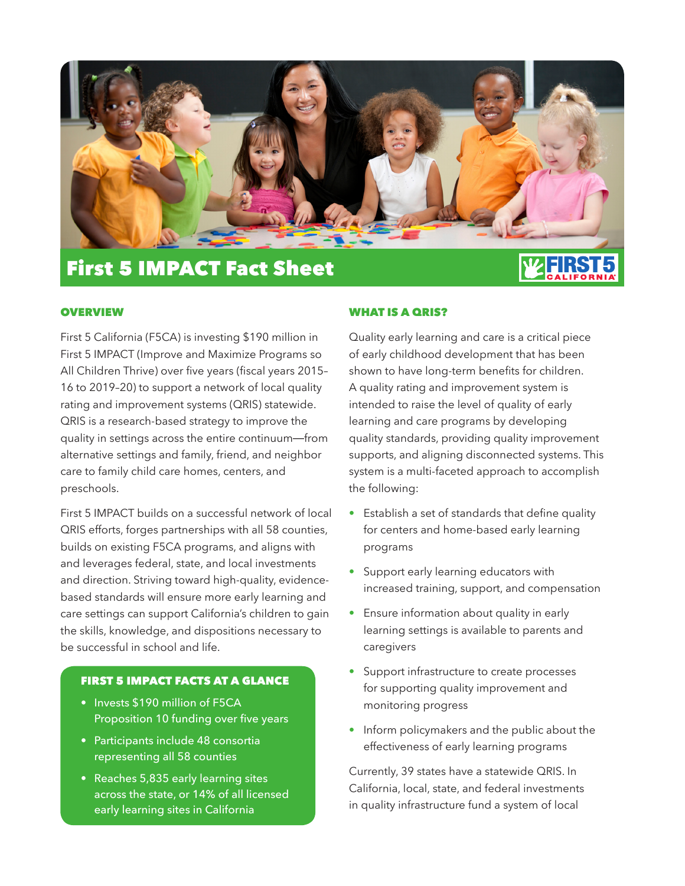

# First 5 IMPACT Fact Sheet

#### **OVERVIEW**

First 5 California (F5CA) is investing \$190 million in First 5 IMPACT (Improve and Maximize Programs so All Children Thrive) over five years (fiscal years 2015– 16 to 2019–20) to support a network of local quality rating and improvement systems (QRIS) statewide. QRIS is a research-based strategy to improve the quality in settings across the entire continuum—from alternative settings and family, friend, and neighbor care to family child care homes, centers, and preschools.

First 5 IMPACT builds on a successful network of local QRIS efforts, forges partnerships with all 58 counties, builds on existing F5CA programs, and aligns with and leverages federal, state, and local investments and direction. Striving toward high-quality, evidencebased standards will ensure more early learning and care settings can support California's children to gain the skills, knowledge, and dispositions necessary to be successful in school and life.

# FIRST 5 IMPACT FACTS AT A GLANCE

- Invests \$190 million of F5CA Proposition 10 funding over five years
- Participants include 48 consortia representing all 58 counties
- Reaches 5,835 early learning sites across the state, or 14% of all licensed early learning sites in California

#### WHAT IS A QRIS?

Quality early learning and care is a critical piece of early childhood development that has been shown to have long-term benefits for children. A quality rating and improvement system is intended to raise the level of quality of early learning and care programs by developing quality standards, providing quality improvement supports, and aligning disconnected systems. This system is a multi-faceted approach to accomplish the following:

- Establish a set of standards that define quality for centers and home-based early learning programs
- Support early learning educators with increased training, support, and compensation
- Ensure information about quality in early learning settings is available to parents and caregivers
- Support infrastructure to create processes for supporting quality improvement and monitoring progress
- Inform policymakers and the public about the effectiveness of early learning programs

Currently, 39 states have a statewide QRIS. In California, local, state, and federal investments in quality infrastructure fund a system of local